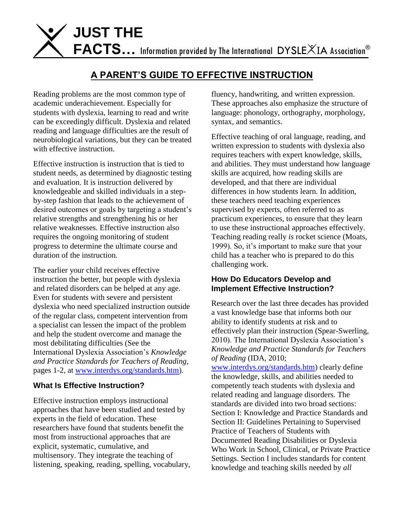

## **A PARENT'S GUIDE TO EFFECTIVE INSTRUCTION**

Reading problems are the most common type of academic underachievement. Especially for students with dyslexia, learning to read and write can be exceedingly difficult. Dyslexia and related reading and language difficulties are the result of neurobiological variations, but they can be treated with effective instruction.

Effective instruction is instruction that is tied to student needs, as determined by diagnostic testing and evaluation. It is instruction delivered by knowledgeable and skilled individuals in a stepby-step fashion that leads to the achievement of desired outcomes or goals by targeting a student's relative strengths and strengthening his or her relative weaknesses. Effective instruction also requires the ongoing monitoring of student progress to determine the ultimate course and duration of the instruction.

The earlier your child receives effective instruction the better, but people with dyslexia and related disorders can be helped at any age. Even for students with severe and persistent dyslexia who need specialized instruction outside of the regular class, competent intervention from a specialist can lessen the impact of the problem and help the student overcome and manage the most debilitating difficulties (See the International Dyslexia Association's *Knowledge and Practice Standards for Teachers of Reading*, pages 1-2, at [www.interdys.org/standards.htm\)](http://www.interdys.org/standards.htm).

## **What Is Effective Instruction?**

Effective instruction employs instructional approaches that have been studied and tested by experts in the field of education. These researchers have found that students benefit the most from instructional approaches that are explicit, systematic, cumulative, and multisensory. They integrate the teaching of listening, speaking, reading, spelling, vocabulary, fluency, handwriting, and written expression. These approaches also emphasize the structure of language: phonology, orthography, morphology, syntax, and semantics.

Effective teaching of oral language, reading, and written expression to students with dyslexia also requires teachers with expert knowledge, skills, and abilities. They must understand how language skills are acquired, how reading skills are developed, and that there are individual differences in how students learn. In addition, these teachers need teaching experiences supervised by experts, often referred to as practicum experiences, to ensure that they learn to use these instructional approaches effectively. Teaching reading really *is* rocket science (Moats, 1999). So, it's important to make sure that your child has a teacher who is prepared to do this challenging work.

## **How Do Educators Develop and Implement Effective Instruction?**

Research over the last three decades has provided a vast knowledge base that informs both our ability to identify students at risk and to effectively plan their instruction (Spear-Swerling, 2010). The International Dyslexia Association's *Knowledge and Practice Standards for Teachers of Reading* (IDA, 2010;

[www.interdys.org/standards.htm\)](http://www.interdys.org/standards.htm) clearly define the knowledge, skills, and abilities needed to competently teach students with dyslexia and related reading and language disorders. The standards are divided into two broad sections: Section I: Knowledge and Practice Standards and Section II: Guidelines Pertaining to Supervised Practice of Teachers of Students with Documented Reading Disabilities or Dyslexia Who Work in School, Clinical, or Private Practice Settings. Section I includes standards for content knowledge and teaching skills needed by *all*